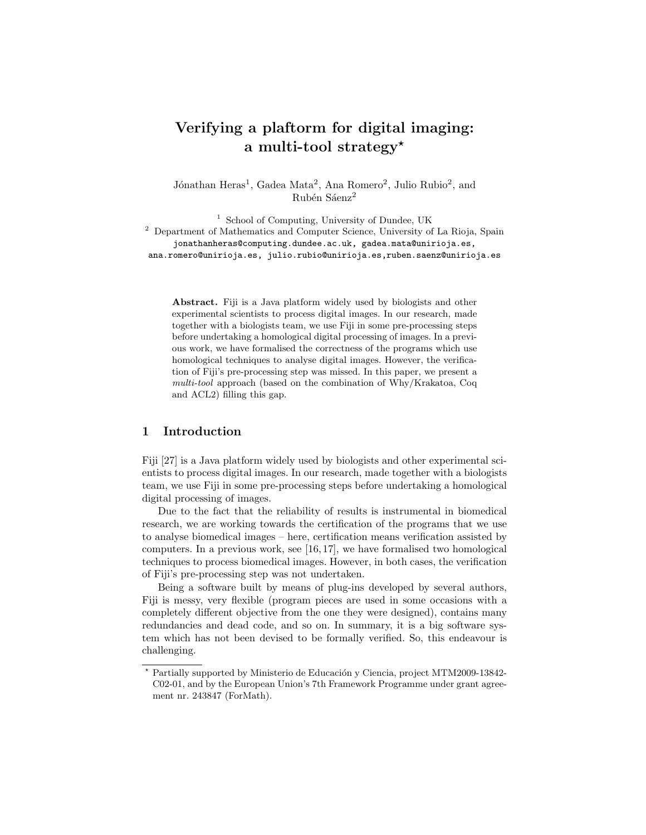# Verifying a plaftorm for digital imaging: a multi-tool strategy\*

Jónathan Heras<sup>1</sup>, Gadea Mata<sup>2</sup>, Ana Romero<sup>2</sup>, Julio Rubio<sup>2</sup>, and Rubén Sáenz<sup>2</sup>

<sup>1</sup> School of Computing, University of Dundee, UK <sup>2</sup> Department of Mathematics and Computer Science, University of La Rioja, Spain jonathanheras@computing.dundee.ac.uk, gadea.mata@unirioja.es, ana.romero@unirioja.es, julio.rubio@unirioja.es,ruben.saenz@unirioja.es

Abstract. Fiji is a Java platform widely used by biologists and other experimental scientists to process digital images. In our research, made together with a biologists team, we use Fiji in some pre-processing steps before undertaking a homological digital processing of images. In a previous work, we have formalised the correctness of the programs which use homological techniques to analyse digital images. However, the verification of Fiji's pre-processing step was missed. In this paper, we present a multi-tool approach (based on the combination of Why/Krakatoa, Coq and ACL2) filling this gap.

#### 1 Introduction

Fiji [\[27\]](#page-15-0) is a Java platform widely used by biologists and other experimental scientists to process digital images. In our research, made together with a biologists team, we use Fiji in some pre-processing steps before undertaking a homological digital processing of images.

Due to the fact that the reliability of results is instrumental in biomedical research, we are working towards the certification of the programs that we use to analyse biomedical images – here, certification means verification assisted by computers. In a previous work, see [\[16,](#page-15-1) [17\]](#page-15-2), we have formalised two homological techniques to process biomedical images. However, in both cases, the verification of Fiji's pre-processing step was not undertaken.

Being a software built by means of plug-ins developed by several authors, Fiji is messy, very flexible (program pieces are used in some occasions with a completely different objective from the one they were designed), contains many redundancies and dead code, and so on. In summary, it is a big software system which has not been devised to be formally verified. So, this endeavour is challenging.

Partially supported by Ministerio de Educación y Ciencia, project MTM2009-13842-C02-01, and by the European Union's 7th Framework Programme under grant agreement nr. 243847 (ForMath).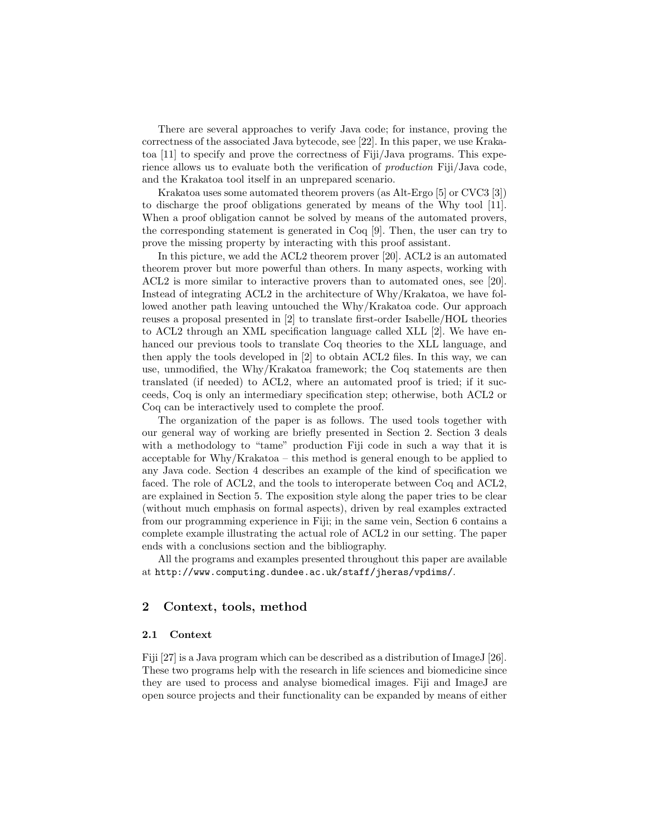There are several approaches to verify Java code; for instance, proving the correctness of the associated Java bytecode, see [\[22\]](#page-15-3). In this paper, we use Krakatoa [\[11\]](#page-15-4) to specify and prove the correctness of Fiji/Java programs. This experience allows us to evaluate both the verification of production Fiji/Java code, and the Krakatoa tool itself in an unprepared scenario.

Krakatoa uses some automated theorem provers (as Alt-Ergo [\[5\]](#page-14-0) or CVC3 [\[3\]](#page-14-1)) to discharge the proof obligations generated by means of the Why tool [\[11\]](#page-15-4). When a proof obligation cannot be solved by means of the automated provers, the corresponding statement is generated in Coq [\[9\]](#page-15-5). Then, the user can try to prove the missing property by interacting with this proof assistant.

In this picture, we add the ACL2 theorem prover [\[20\]](#page-15-6). ACL2 is an automated theorem prover but more powerful than others. In many aspects, working with ACL2 is more similar to interactive provers than to automated ones, see [\[20\]](#page-15-6). Instead of integrating ACL2 in the architecture of Why/Krakatoa, we have followed another path leaving untouched the Why/Krakatoa code. Our approach reuses a proposal presented in [\[2\]](#page-14-2) to translate first-order Isabelle/HOL theories to ACL2 through an XML specification language called XLL [\[2\]](#page-14-2). We have enhanced our previous tools to translate Coq theories to the XLL language, and then apply the tools developed in [\[2\]](#page-14-2) to obtain ACL2 files. In this way, we can use, unmodified, the Why/Krakatoa framework; the Coq statements are then translated (if needed) to ACL2, where an automated proof is tried; if it succeeds, Coq is only an intermediary specification step; otherwise, both ACL2 or Coq can be interactively used to complete the proof.

The organization of the paper is as follows. The used tools together with our general way of working are briefly presented in Section [2.](#page-1-0) Section [3](#page-4-0) deals with a methodology to "tame" production Fiji code in such a way that it is acceptable for Why/Krakatoa – this method is general enough to be applied to any Java code. Section [4](#page-5-0) describes an example of the kind of specification we faced. The role of ACL2, and the tools to interoperate between Coq and ACL2, are explained in Section [5.](#page-8-0) The exposition style along the paper tries to be clear (without much emphasis on formal aspects), driven by real examples extracted from our programming experience in Fiji; in the same vein, Section [6](#page-10-0) contains a complete example illustrating the actual role of ACL2 in our setting. The paper ends with a conclusions section and the bibliography.

All the programs and examples presented throughout this paper are available at <http://www.computing.dundee.ac.uk/staff/jheras/vpdims/>.

## <span id="page-1-0"></span>2 Context, tools, method

#### 2.1 Context

Fiji [\[27\]](#page-15-0) is a Java program which can be described as a distribution of ImageJ [\[26\]](#page-15-7). These two programs help with the research in life sciences and biomedicine since they are used to process and analyse biomedical images. Fiji and ImageJ are open source projects and their functionality can be expanded by means of either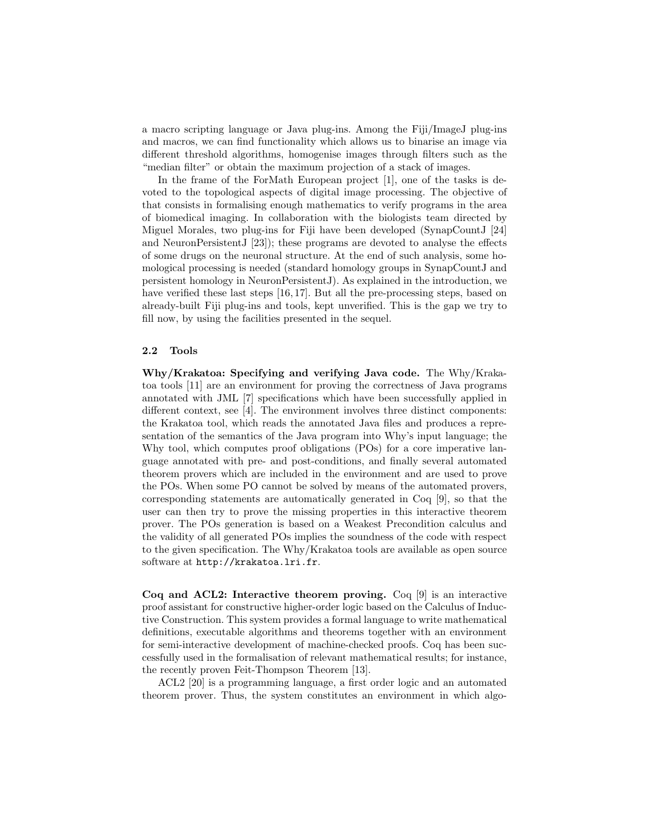a macro scripting language or Java plug-ins. Among the Fiji/ImageJ plug-ins and macros, we can find functionality which allows us to binarise an image via different threshold algorithms, homogenise images through filters such as the "median filter" or obtain the maximum projection of a stack of images.

In the frame of the ForMath European project [\[1\]](#page-14-3), one of the tasks is devoted to the topological aspects of digital image processing. The objective of that consists in formalising enough mathematics to verify programs in the area of biomedical imaging. In collaboration with the biologists team directed by Miguel Morales, two plug-ins for Fiji have been developed (SynapCountJ [\[24\]](#page-15-8) and NeuronPersistentJ [\[23\]](#page-15-9)); these programs are devoted to analyse the effects of some drugs on the neuronal structure. At the end of such analysis, some homological processing is needed (standard homology groups in SynapCountJ and persistent homology in NeuronPersistentJ). As explained in the introduction, we have verified these last steps [\[16,](#page-15-1) [17\]](#page-15-2). But all the pre-processing steps, based on already-built Fiji plug-ins and tools, kept unverified. This is the gap we try to fill now, by using the facilities presented in the sequel.

#### <span id="page-2-0"></span>2.2 Tools

Why/Krakatoa: Specifying and verifying Java code. The Why/Krakatoa tools [\[11\]](#page-15-4) are an environment for proving the correctness of Java programs annotated with JML [\[7\]](#page-14-4) specifications which have been successfully applied in different context, see [\[4\]](#page-14-5). The environment involves three distinct components: the Krakatoa tool, which reads the annotated Java files and produces a representation of the semantics of the Java program into Why's input language; the Why tool, which computes proof obligations (POs) for a core imperative language annotated with pre- and post-conditions, and finally several automated theorem provers which are included in the environment and are used to prove the POs. When some PO cannot be solved by means of the automated provers, corresponding statements are automatically generated in Coq [\[9\]](#page-15-5), so that the user can then try to prove the missing properties in this interactive theorem prover. The POs generation is based on a Weakest Precondition calculus and the validity of all generated POs implies the soundness of the code with respect to the given specification. The Why/Krakatoa tools are available as open source software at <http://krakatoa.lri.fr>.

Coq and ACL2: Interactive theorem proving. Coq  $[9]$  is an interactive proof assistant for constructive higher-order logic based on the Calculus of Inductive Construction. This system provides a formal language to write mathematical definitions, executable algorithms and theorems together with an environment for semi-interactive development of machine-checked proofs. Coq has been successfully used in the formalisation of relevant mathematical results; for instance, the recently proven Feit-Thompson Theorem [\[13\]](#page-15-10).

ACL2 [\[20\]](#page-15-6) is a programming language, a first order logic and an automated theorem prover. Thus, the system constitutes an environment in which algo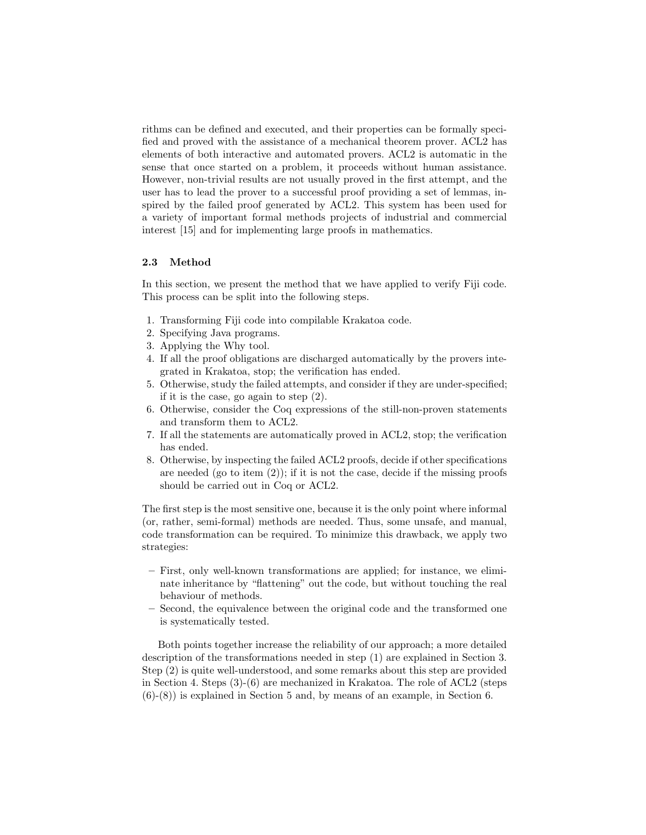rithms can be defined and executed, and their properties can be formally specified and proved with the assistance of a mechanical theorem prover. ACL2 has elements of both interactive and automated provers. ACL2 is automatic in the sense that once started on a problem, it proceeds without human assistance. However, non-trivial results are not usually proved in the first attempt, and the user has to lead the prover to a successful proof providing a set of lemmas, inspired by the failed proof generated by ACL2. This system has been used for a variety of important formal methods projects of industrial and commercial interest [\[15\]](#page-15-11) and for implementing large proofs in mathematics.

#### 2.3 Method

In this section, we present the method that we have applied to verify Fiji code. This process can be split into the following steps.

- 1. Transforming Fiji code into compilable Krakatoa code.
- 2. Specifying Java programs.
- 3. Applying the Why tool.
- 4. If all the proof obligations are discharged automatically by the provers integrated in Krakatoa, stop; the verification has ended.
- 5. Otherwise, study the failed attempts, and consider if they are under-specified; if it is the case, go again to step (2).
- 6. Otherwise, consider the Coq expressions of the still-non-proven statements and transform them to ACL2.
- 7. If all the statements are automatically proved in ACL2, stop; the verification has ended.
- 8. Otherwise, by inspecting the failed ACL2 proofs, decide if other specifications are needed (go to item  $(2)$ ); if it is not the case, decide if the missing proofs should be carried out in Coq or ACL2.

The first step is the most sensitive one, because it is the only point where informal (or, rather, semi-formal) methods are needed. Thus, some unsafe, and manual, code transformation can be required. To minimize this drawback, we apply two strategies:

- First, only well-known transformations are applied; for instance, we eliminate inheritance by "flattening" out the code, but without touching the real behaviour of methods.
- Second, the equivalence between the original code and the transformed one is systematically tested.

Both points together increase the reliability of our approach; a more detailed description of the transformations needed in step (1) are explained in Section [3.](#page-4-0) Step (2) is quite well-understood, and some remarks about this step are provided in Section [4.](#page-5-0) Steps (3)-(6) are mechanized in Krakatoa. The role of ACL2 (steps (6)-(8)) is explained in Section [5](#page-8-0) and, by means of an example, in Section [6.](#page-10-0)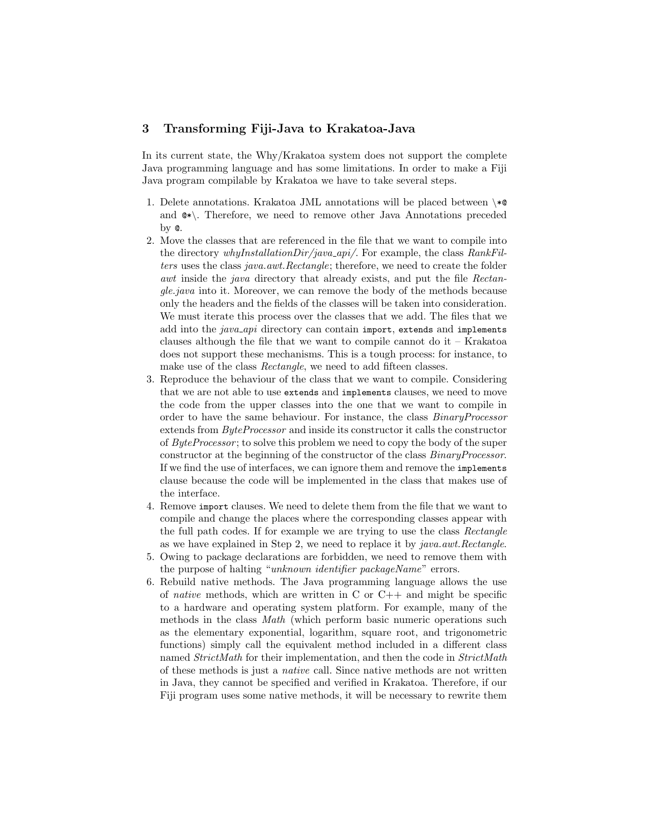## <span id="page-4-0"></span>3 Transforming Fiji-Java to Krakatoa-Java

In its current state, the Why/Krakatoa system does not support the complete Java programming language and has some limitations. In order to make a Fiji Java program compilable by Krakatoa we have to take several steps.

- 1. Delete annotations. Krakatoa JML annotations will be placed between \\*@ and @\*\. Therefore, we need to remove other Java Annotations preceded by @.
- 2. Move the classes that are referenced in the file that we want to compile into the directory whyInstallationDir/java\_api/. For example, the class  $RankFil$ ters uses the class java.awt.Rectangle; therefore, we need to create the folder awt inside the java directory that already exists, and put the file Rectangle.java into it. Moreover, we can remove the body of the methods because only the headers and the fields of the classes will be taken into consideration. We must iterate this process over the classes that we add. The files that we add into the java\_api directory can contain import, extends and implements clauses although the file that we want to compile cannot do it – Krakatoa does not support these mechanisms. This is a tough process: for instance, to make use of the class *Rectangle*, we need to add fifteen classes.
- 3. Reproduce the behaviour of the class that we want to compile. Considering that we are not able to use extends and implements clauses, we need to move the code from the upper classes into the one that we want to compile in order to have the same behaviour. For instance, the class BinaryProcessor extends from ByteProcessor and inside its constructor it calls the constructor of ByteProcessor ; to solve this problem we need to copy the body of the super constructor at the beginning of the constructor of the class BinaryProcessor. If we find the use of interfaces, we can ignore them and remove the implements clause because the code will be implemented in the class that makes use of the interface.
- 4. Remove import clauses. We need to delete them from the file that we want to compile and change the places where the corresponding classes appear with the full path codes. If for example we are trying to use the class Rectangle as we have explained in Step 2, we need to replace it by java.awt.Rectangle.
- 5. Owing to package declarations are forbidden, we need to remove them with the purpose of halting "unknown identifier packageName" errors.
- 6. Rebuild native methods. The Java programming language allows the use of *native* methods, which are written in C or  $C_{++}$  and might be specific to a hardware and operating system platform. For example, many of the methods in the class Math (which perform basic numeric operations such as the elementary exponential, logarithm, square root, and trigonometric functions) simply call the equivalent method included in a different class named StrictMath for their implementation, and then the code in StrictMath of these methods is just a native call. Since native methods are not written in Java, they cannot be specified and verified in Krakatoa. Therefore, if our Fiji program uses some native methods, it will be necessary to rewrite them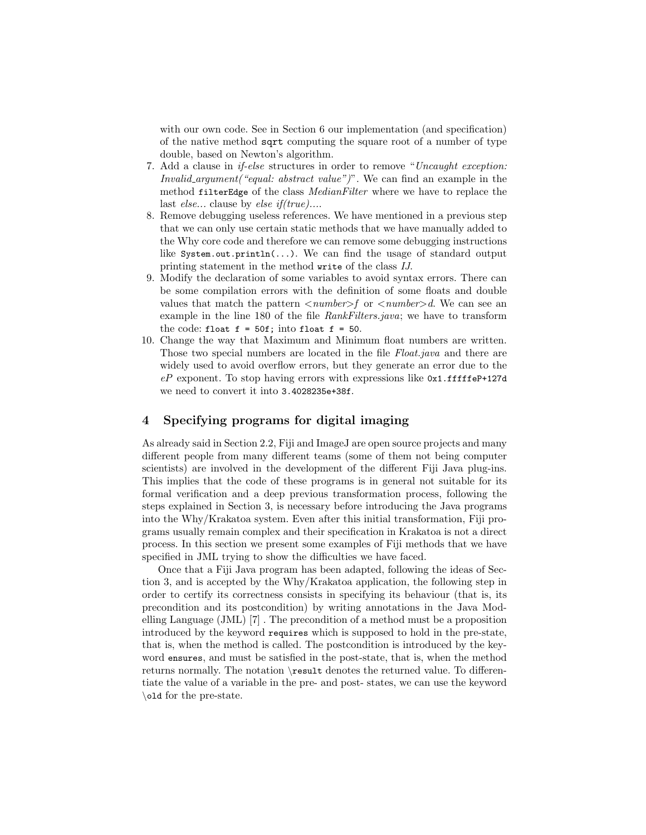with our own code. See in Section [6](#page-10-0) our implementation (and specification) of the native method sqrt computing the square root of a number of type double, based on Newton's algorithm.

- 7. Add a clause in if-else structures in order to remove "Uncaught exception: Invalid\_argument("equal: abstract value")". We can find an example in the method filterEdge of the class *MedianFilter* where we have to replace the last  $else...$  clause by  $else$  if(true)....
- 8. Remove debugging useless references. We have mentioned in a previous step that we can only use certain static methods that we have manually added to the Why core code and therefore we can remove some debugging instructions like System.out.println(...). We can find the usage of standard output printing statement in the method write of the class IJ.
- 9. Modify the declaration of some variables to avoid syntax errors. There can be some compilation errors with the definition of some floats and double values that match the pattern  $\langle$  *number* $\rangle$  f or  $\langle$  *number* $\rangle$ *d.* We can see an example in the line 180 of the file RankFilters.java; we have to transform the code: float  $f = 50f$ ; into float  $f = 50$ .
- 10. Change the way that Maximum and Minimum float numbers are written. Those two special numbers are located in the file Float.java and there are widely used to avoid overflow errors, but they generate an error due to the  $eP$  exponent. To stop having errors with expressions like  $0x1$ .fffffeP+127d we need to convert it into 3.4028235e+38f.

## <span id="page-5-0"></span>4 Specifying programs for digital imaging

As already said in Section [2.2,](#page-2-0) Fiji and ImageJ are open source projects and many different people from many different teams (some of them not being computer scientists) are involved in the development of the different Fiji Java plug-ins. This implies that the code of these programs is in general not suitable for its formal verification and a deep previous transformation process, following the steps explained in Section [3,](#page-4-0) is necessary before introducing the Java programs into the Why/Krakatoa system. Even after this initial transformation, Fiji programs usually remain complex and their specification in Krakatoa is not a direct process. In this section we present some examples of Fiji methods that we have specified in JML trying to show the difficulties we have faced.

Once that a Fiji Java program has been adapted, following the ideas of Section [3,](#page-4-0) and is accepted by the Why/Krakatoa application, the following step in order to certify its correctness consists in specifying its behaviour (that is, its precondition and its postcondition) by writing annotations in the Java Modelling Language (JML) [\[7\]](#page-14-4) . The precondition of a method must be a proposition introduced by the keyword requires which is supposed to hold in the pre-state, that is, when the method is called. The postcondition is introduced by the keyword ensures, and must be satisfied in the post-state, that is, when the method returns normally. The notation \result denotes the returned value. To differentiate the value of a variable in the pre- and post- states, we can use the keyword \old for the pre-state.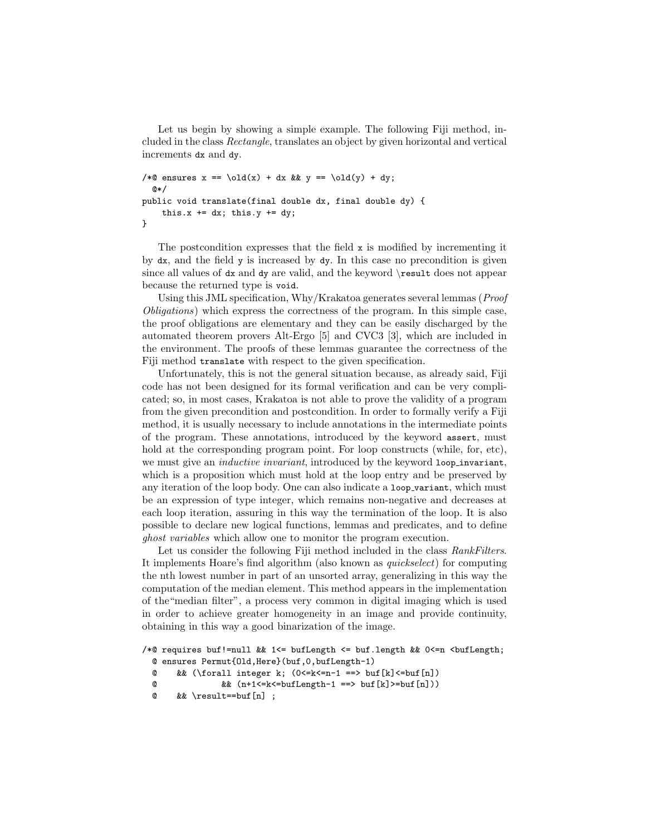Let us begin by showing a simple example. The following Fiji method, included in the class Rectangle, translates an object by given horizontal and vertical increments dx and dy.

```
/*@ ensures x == \old(x) + dx \& y == \old(y) + dy;0*/public void translate(final double dx, final double dy) {
    this.x += dx; this.y += dy;
}
```
The postcondition expresses that the field  $x$  is modified by incrementing it by dx, and the field y is increased by dy. In this case no precondition is given since all values of  $dx$  and  $dy$  are valid, and the keyword \result does not appear because the returned type is void.

Using this JML specification, Why/Krakatoa generates several lemmas (Proof Obligations) which express the correctness of the program. In this simple case, the proof obligations are elementary and they can be easily discharged by the automated theorem provers Alt-Ergo [\[5\]](#page-14-0) and CVC3 [\[3\]](#page-14-1), which are included in the environment. The proofs of these lemmas guarantee the correctness of the Fiji method translate with respect to the given specification.

Unfortunately, this is not the general situation because, as already said, Fiji code has not been designed for its formal verification and can be very complicated; so, in most cases, Krakatoa is not able to prove the validity of a program from the given precondition and postcondition. In order to formally verify a Fiji method, it is usually necessary to include annotations in the intermediate points of the program. These annotations, introduced by the keyword assert, must hold at the corresponding program point. For loop constructs (while, for, etc), we must give an *inductive invariant*, introduced by the keyword loop invariant, which is a proposition which must hold at the loop entry and be preserved by any iteration of the loop body. One can also indicate a loop\_variant, which must be an expression of type integer, which remains non-negative and decreases at each loop iteration, assuring in this way the termination of the loop. It is also possible to declare new logical functions, lemmas and predicates, and to define ghost variables which allow one to monitor the program execution.

Let us consider the following Fiji method included in the class *RankFilters*. It implements Hoare's find algorithm (also known as quickselect) for computing the nth lowest number in part of an unsorted array, generalizing in this way the computation of the median element. This method appears in the implementation of the"median filter", a process very common in digital imaging which is used in order to achieve greater homogeneity in an image and provide continuity, obtaining in this way a good binarization of the image.

```
/*@ requires buf!=null && 1<= bufLength <= buf.length && 0<=n <bufLength;
 @ ensures Permut{Old,Here}(buf,0,bufLength-1)
 @ && (\forall integer k; (0<=k<=n-1 ==> buf[k]<=buf[n])
 @ && (n+1<=k<=bufLength-1 ==> buf[k]>=buf[n]))
```

```
@ && \result==buf[n] ;
```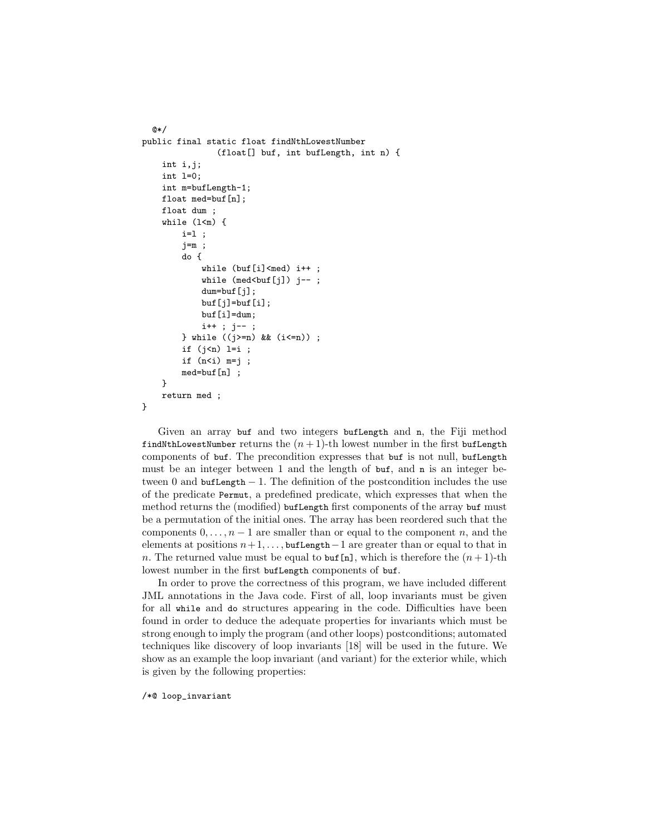```
@*/
public final static float findNthLowestNumber
                (float[] buf, int bufLength, int n) {
    int i,j;
    int l=0;
    int m=bufLength-1;
    float med=buf[n];
    float dum ;
    while (l < m) {
        i=l ;
        j=m ;
        do {
            while (buf[i]<med) i++;
            while (med<br/>buf[j]) j-- ;
            dum=buf[j];
            buf[i]=buf[i];buf[i]=dum;
            i++ ; j-- ;
        } while ((j>=n) && (i<=n)) ;
        if (j\langle n\rangle) l=i ;
        if (n < i) m=j ;
        med=buf[n] ;
    }
    return med ;
}
```
Given an array buf and two integers bufLength and n, the Fiji method findNthLowestNumber returns the  $(n + 1)$ -th lowest number in the first bufLength components of buf. The precondition expresses that buf is not null, bufLength must be an integer between 1 and the length of buf, and n is an integer between 0 and bufLength − 1. The definition of the postcondition includes the use of the predicate Permut, a predefined predicate, which expresses that when the method returns the (modified) bufLength first components of the array buf must be a permutation of the initial ones. The array has been reordered such that the components  $0, \ldots, n-1$  are smaller than or equal to the component n, and the elements at positions  $n+1, \ldots$ , bufLength – 1 are greater than or equal to that in n. The returned value must be equal to but [n], which is therefore the  $(n+1)$ -th lowest number in the first bufLength components of buf.

In order to prove the correctness of this program, we have included different JML annotations in the Java code. First of all, loop invariants must be given for all while and do structures appearing in the code. Difficulties have been found in order to deduce the adequate properties for invariants which must be strong enough to imply the program (and other loops) postconditions; automated techniques like discovery of loop invariants [\[18\]](#page-15-12) will be used in the future. We show as an example the loop invariant (and variant) for the exterior while, which is given by the following properties:

/\*@ loop\_invariant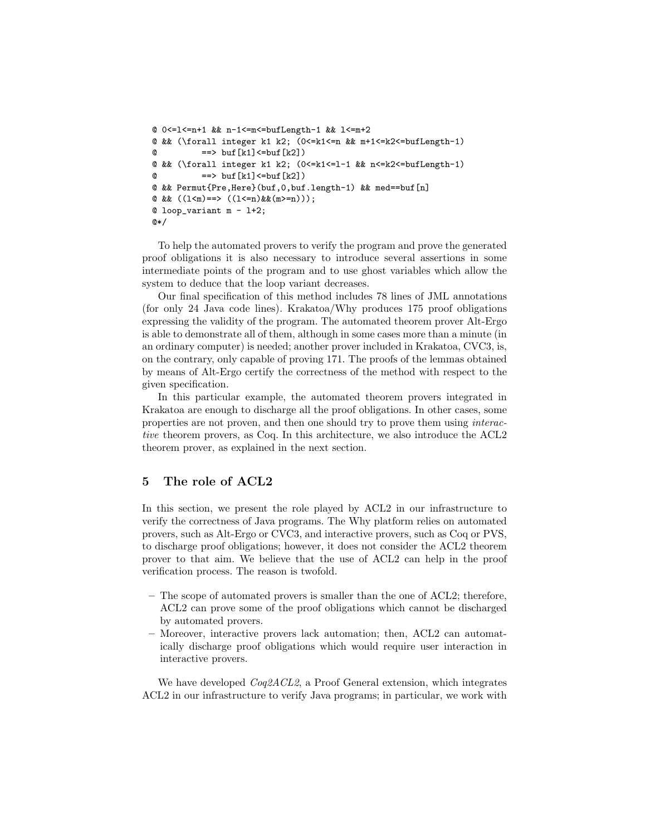```
@ 0<=l<=n+1 && n-1<=m<=bufLength-1 && l<=m+2
@ && (\forall integer k1 k2; (0<=k1<=n && m+1<=k2<=bufLength-1)
@ ==> \text{buf[k1]{\le} \text{buf[k2]}}@ && (\forall integer k1 k2; (0<=k1<=l-1 && n<=k2<=bufLength-1)
@ ==> \text{buf[k1]{\le} \text{buf[k2]}}@ && Permut{Pre,Here}(buf,0,buf.length-1) && med==buf[n]
0 && ((1\langle m\rangle ==> ((1\langle =n\rangle &\& (m\rangle ==n)));
@ loop_variant m - l+2;
@*/
```
To help the automated provers to verify the program and prove the generated proof obligations it is also necessary to introduce several assertions in some intermediate points of the program and to use ghost variables which allow the system to deduce that the loop variant decreases.

Our final specification of this method includes 78 lines of JML annotations (for only 24 Java code lines). Krakatoa/Why produces 175 proof obligations expressing the validity of the program. The automated theorem prover Alt-Ergo is able to demonstrate all of them, although in some cases more than a minute (in an ordinary computer) is needed; another prover included in Krakatoa, CVC3, is, on the contrary, only capable of proving 171. The proofs of the lemmas obtained by means of Alt-Ergo certify the correctness of the method with respect to the given specification.

In this particular example, the automated theorem provers integrated in Krakatoa are enough to discharge all the proof obligations. In other cases, some properties are not proven, and then one should try to prove them using interactive theorem provers, as Coq. In this architecture, we also introduce the ACL2 theorem prover, as explained in the next section.

## <span id="page-8-0"></span>5 The role of ACL2

In this section, we present the role played by ACL2 in our infrastructure to verify the correctness of Java programs. The Why platform relies on automated provers, such as Alt-Ergo or CVC3, and interactive provers, such as Coq or PVS, to discharge proof obligations; however, it does not consider the ACL2 theorem prover to that aim. We believe that the use of ACL2 can help in the proof verification process. The reason is twofold.

- The scope of automated provers is smaller than the one of ACL2; therefore, ACL2 can prove some of the proof obligations which cannot be discharged by automated provers.
- Moreover, interactive provers lack automation; then, ACL2 can automatically discharge proof obligations which would require user interaction in interactive provers.

We have developed  $Cog2ACL2$ , a Proof General extension, which integrates ACL2 in our infrastructure to verify Java programs; in particular, we work with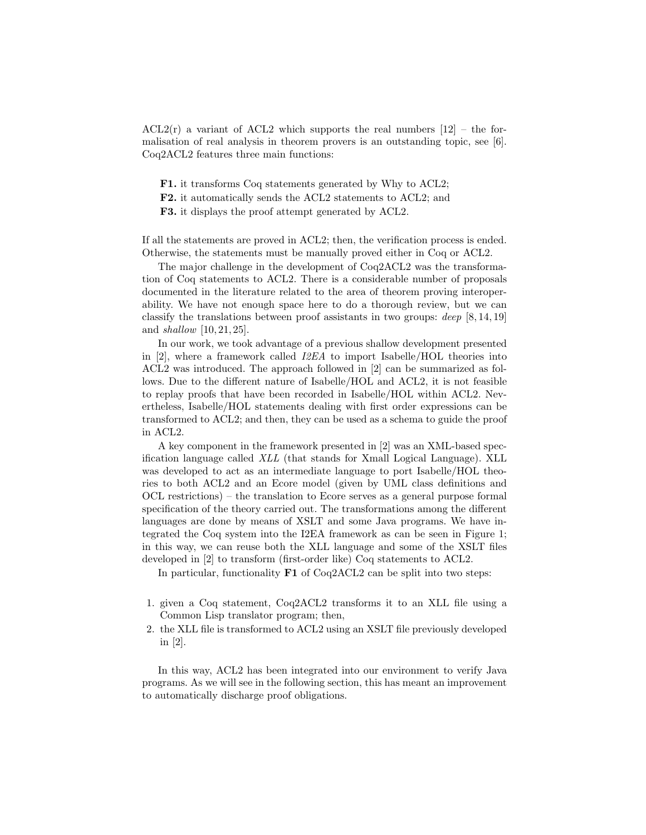$\text{ACL2}(r)$  a variant of ACL2 which supports the real numbers  $|12|$  – the formalisation of real analysis in theorem provers is an outstanding topic, see [\[6\]](#page-14-6). Coq2ACL2 features three main functions:

- F1. it transforms Coq statements generated by Why to ACL2;
- F2. it automatically sends the ACL2 statements to ACL2; and
- F3. it displays the proof attempt generated by ACL2.

If all the statements are proved in ACL2; then, the verification process is ended. Otherwise, the statements must be manually proved either in Coq or ACL2.

The major challenge in the development of Coq2ACL2 was the transformation of Coq statements to ACL2. There is a considerable number of proposals documented in the literature related to the area of theorem proving interoperability. We have not enough space here to do a thorough review, but we can classify the translations between proof assistants in two groups: *deep*  $[8, 14, 19]$  $[8, 14, 19]$  $[8, 14, 19]$  $[8, 14, 19]$  $[8, 14, 19]$ and shallow [\[10,](#page-15-17) [21,](#page-15-18) [25\]](#page-15-19).

In our work, we took advantage of a previous shallow development presented in [\[2\]](#page-14-2), where a framework called  $I2EA$  to import Isabelle/HOL theories into ACL2 was introduced. The approach followed in [\[2\]](#page-14-2) can be summarized as follows. Due to the different nature of Isabelle/HOL and ACL2, it is not feasible to replay proofs that have been recorded in Isabelle/HOL within ACL2. Nevertheless, Isabelle/HOL statements dealing with first order expressions can be transformed to ACL2; and then, they can be used as a schema to guide the proof in ACL2.

A key component in the framework presented in [\[2\]](#page-14-2) was an XML-based specification language called XLL (that stands for Xmall Logical Language). XLL was developed to act as an intermediate language to port Isabelle/HOL theories to both ACL2 and an Ecore model (given by UML class definitions and OCL restrictions) – the translation to Ecore serves as a general purpose formal specification of the theory carried out. The transformations among the different languages are done by means of XSLT and some Java programs. We have integrated the Coq system into the I2EA framework as can be seen in Figure [1;](#page-10-1) in this way, we can reuse both the XLL language and some of the XSLT files developed in [\[2\]](#page-14-2) to transform (first-order like) Coq statements to ACL2.

In particular, functionality  $F1$  of  $Coq2ACL2$  can be split into two steps:

- 1. given a Coq statement, Coq2ACL2 transforms it to an XLL file using a Common Lisp translator program; then,
- 2. the XLL file is transformed to ACL2 using an XSLT file previously developed in [\[2\]](#page-14-2).

In this way, ACL2 has been integrated into our environment to verify Java programs. As we will see in the following section, this has meant an improvement to automatically discharge proof obligations.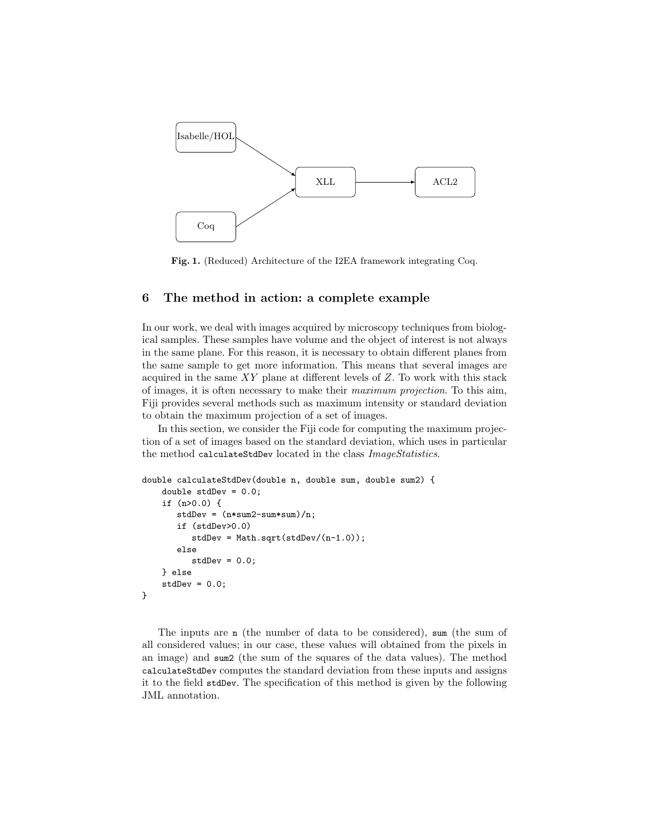

<span id="page-10-1"></span>Fig. 1. (Reduced) Architecture of the I2EA framework integrating Coq.

#### <span id="page-10-0"></span>6 The method in action: a complete example

In our work, we deal with images acquired by microscopy techniques from biological samples. These samples have volume and the object of interest is not always in the same plane. For this reason, it is necessary to obtain different planes from the same sample to get more information. This means that several images are acquired in the same  $XY$  plane at different levels of  $Z$ . To work with this stack of images, it is often necessary to make their maximum projection. To this aim, Fiji provides several methods such as maximum intensity or standard deviation to obtain the maximum projection of a set of images.

In this section, we consider the Fiji code for computing the maximum projection of a set of images based on the standard deviation, which uses in particular the method calculateStdDev located in the class ImageStatistics.

```
double calculateStdDev(double n, double sum, double sum2) {
    double stdDev = 0.0;
    if (n>0.0) {
       stdDev = (n*sum2-sum*sum) / n;if (stdDev>0.0)
          stdDev = Math.sqrt(stdDev/(n-1.0));
       else
          stdDev = 0.0;} else
    stdDev = 0.0;
}
```
The inputs are n (the number of data to be considered), sum (the sum of all considered values; in our case, these values will obtained from the pixels in an image) and sum2 (the sum of the squares of the data values). The method calculateStdDev computes the standard deviation from these inputs and assigns it to the field stdDev. The specification of this method is given by the following JML annotation.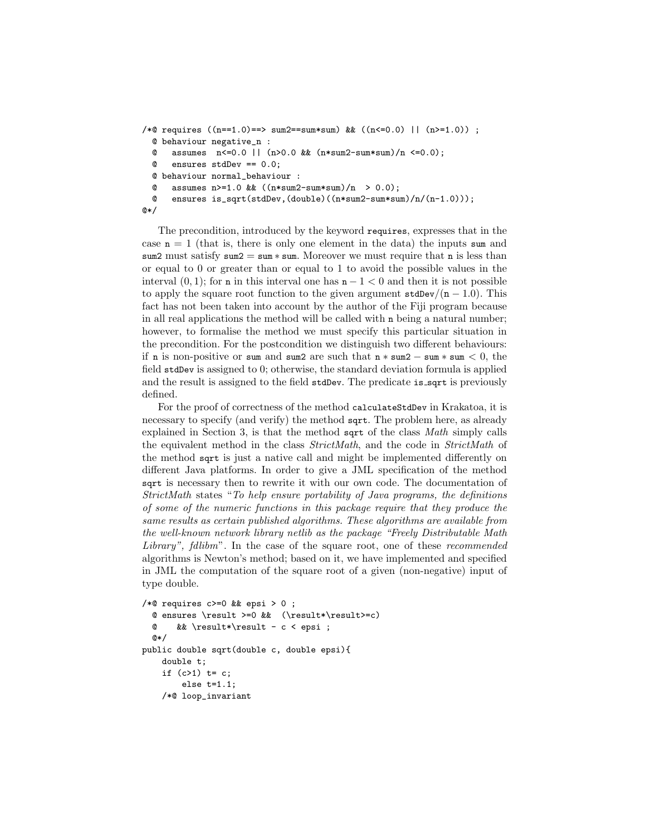```
/*@ requires ((n==1.0) ==> sum2 == sum * sum) && ((n<=0.0) || (n>=1.0));
  @ behaviour negative_n :
 @ assumes n<=0.0 || (n>0.0 && (n*sum2-sum*sum)/n <=0.0);
 @ ensures stdDev == 0.0;
 @ behaviour normal_behaviour :
 0 assumes n>=1.0 & ((n*sum2-sum*sum)/n > 0.0);
 @ ensures is_sqrt(stdDev,(double)((n*sum2-sum*sum)/n/(n-1.0)));
@*/
```
The precondition, introduced by the keyword requires, expresses that in the case  $n = 1$  (that is, there is only one element in the data) the inputs sum and sum2 must satisfy sum2 = sum  $*$  sum. Moreover we must require that n is less than or equal to 0 or greater than or equal to 1 to avoid the possible values in the interval  $(0, 1)$ ; for **n** in this interval one has  $n - 1 < 0$  and then it is not possible to apply the square root function to the given argument  $\text{stdDev}/(n - 1.0)$ . This fact has not been taken into account by the author of the Fiji program because in all real applications the method will be called with n being a natural number; however, to formalise the method we must specify this particular situation in the precondition. For the postcondition we distinguish two different behaviours: if n is non-positive or sum and sum2 are such that  $n * sum2 - sum * sum < 0$ , the field stdDev is assigned to 0; otherwise, the standard deviation formula is applied and the result is assigned to the field stdDev. The predicate is sqrt is previously defined.

For the proof of correctness of the method calculateStdDev in Krakatoa, it is necessary to specify (and verify) the method sqrt. The problem here, as already explained in Section [3,](#page-4-0) is that the method sqrt of the class Math simply calls the equivalent method in the class StrictMath, and the code in StrictMath of the method sqrt is just a native call and might be implemented differently on different Java platforms. In order to give a JML specification of the method sqrt is necessary then to rewrite it with our own code. The documentation of StrictMath states "To help ensure portability of Java programs, the definitions of some of the numeric functions in this package require that they produce the same results as certain published algorithms. These algorithms are available from the well-known network library netlib as the package "Freely Distributable Math Library", fdlibm". In the case of the square root, one of these recommended algorithms is Newton's method; based on it, we have implemented and specified in JML the computation of the square root of a given (non-negative) input of type double.

```
/*@ requires c>=0 && epsi > 0 ;
 @ ensures \result >=0 && (\result*\result>=c)
 @ && \result*\result - c < epsi ;
  @*/
public double sqrt(double c, double epsi){
   double t;
   if (c>1) t=c;
       else t=1.1;
    /*@ loop_invariant
```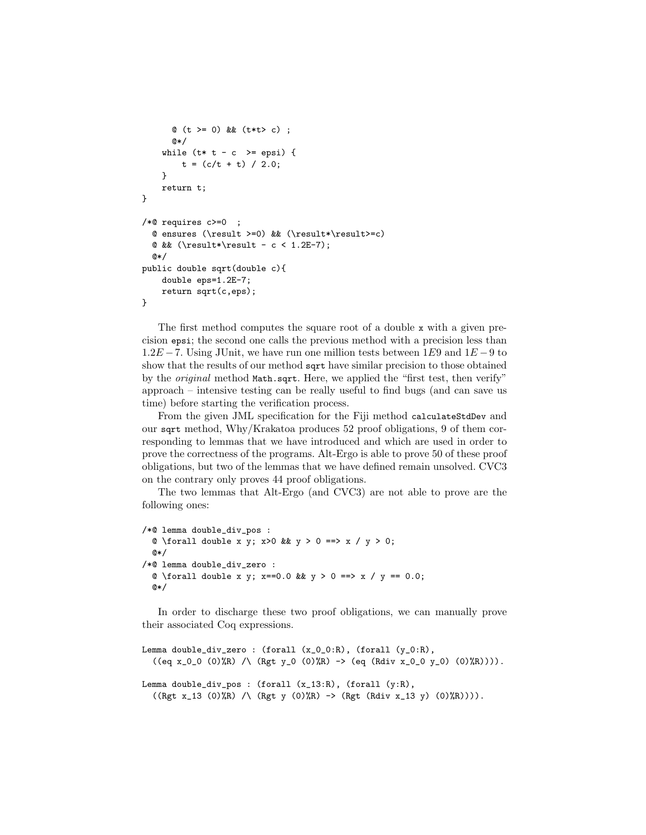```
@ (t >= 0) && (t*t> c) ;
      @*/
    while (t * t - c > = epsi) {
        t = (c/t + t) / 2.0;}
    return t;
}
/*@ requires c>=0 ;
  @ ensures (\result >=0) && (\result*\result>=c)
  @ k& (\text{result*}\result - c < 1.2E-7);0*/public double sqrt(double c){
    double eps=1.2E-7;
    return sqrt(c,eps);
}
```
The first method computes the square root of a double x with a given precision epsi; the second one calls the previous method with a precision less than  $1.2E - 7$ . Using JUnit, we have run one million tests between 1E9 and 1E −9 to show that the results of our method sqrt have similar precision to those obtained by the *original* method Math.sqrt. Here, we applied the "first test, then verify" approach – intensive testing can be really useful to find bugs (and can save us time) before starting the verification process.

From the given JML specification for the Fiji method calculateStdDev and our sqrt method, Why/Krakatoa produces 52 proof obligations, 9 of them corresponding to lemmas that we have introduced and which are used in order to prove the correctness of the programs. Alt-Ergo is able to prove 50 of these proof obligations, but two of the lemmas that we have defined remain unsolved. CVC3 on the contrary only proves 44 proof obligations.

The two lemmas that Alt-Ergo (and CVC3) are not able to prove are the following ones:

```
/*@ lemma double_div_pos :
  @ \forall double x y; x>0 && y > 0 ==> x / y > 0;
  @*/
/*@ lemma double_div_zero :
  @ \forall double x y; x==0.0 && y > 0 ==> x / y = 0.0;
 @*/
```
In order to discharge these two proof obligations, we can manually prove their associated Coq expressions.

```
Lemma double_div_zero : (forall (x_0_0:R), (forall (y_0:R),
  ((eq x_0_0 (0))<sub>K</sub>R) / (Reg y_0 (0))<sub>K</sub>R) -> (eq (Rdiv x_0_0 y_0) (0)<sub>K</sub>(R)))).
Lemma double_div_pos : (forall (x_13:R), (forall (y:R),
  ((Rgt x_13 (0)\%R) / \langle (Rgt y (0)\%R) - \rangle (Rgt (Rdiv x_13 y) (0)\%R))).
```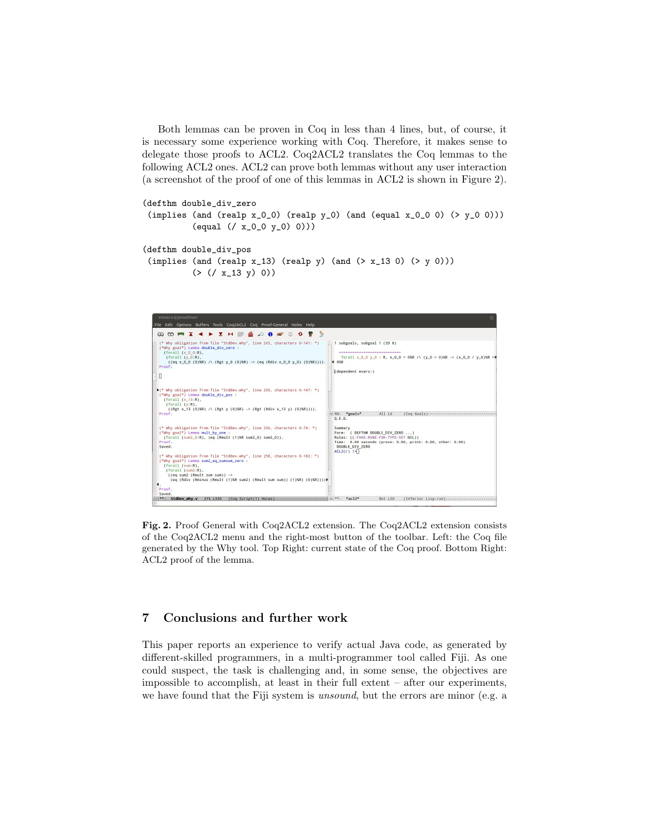Both lemmas can be proven in Coq in less than 4 lines, but, of course, it is necessary some experience working with Coq. Therefore, it makes sense to delegate those proofs to ACL2. Coq2ACL2 translates the Coq lemmas to the following ACL2 ones. ACL2 can prove both lemmas without any user interaction (a screenshot of the proof of one of this lemmas in ACL2 is shown in Figure [2\)](#page-13-0).

```
(defthm double_div_zero
(implies (and (realp x_0_0) (realp y_0) (and (equal x_0_0 0) (> y_0 0)))
          (equal (/ x_0_0 y_0) 0)))
```

```
(defthm double_div_pos
```

```
(implies (and (realp x_13) (realp y) (and (> x_13 0) (> y 0)))
        (>(x_13 y) 0))
```


Fig. 2. Proof General with Coq2ACL2 extension. The Coq2ACL2 extension consists of the Coq2ACL2 menu and the right-most button of the toolbar. Left: the Coq file generated by the Why tool. Top Right: current state of the Coq proof. Bottom Right: ACL2 proof of the lemma.

## <span id="page-13-0"></span>7 Conclusions and further work

This paper reports an experience to verify actual Java code, as generated by different-skilled programmers, in a multi-programmer tool called Fiji. As one could suspect, the task is challenging and, in some sense, the objectives are impossible to accomplish, at least in their full extent – after our experiments, we have found that the Fiji system is unsound, but the errors are minor (e.g. a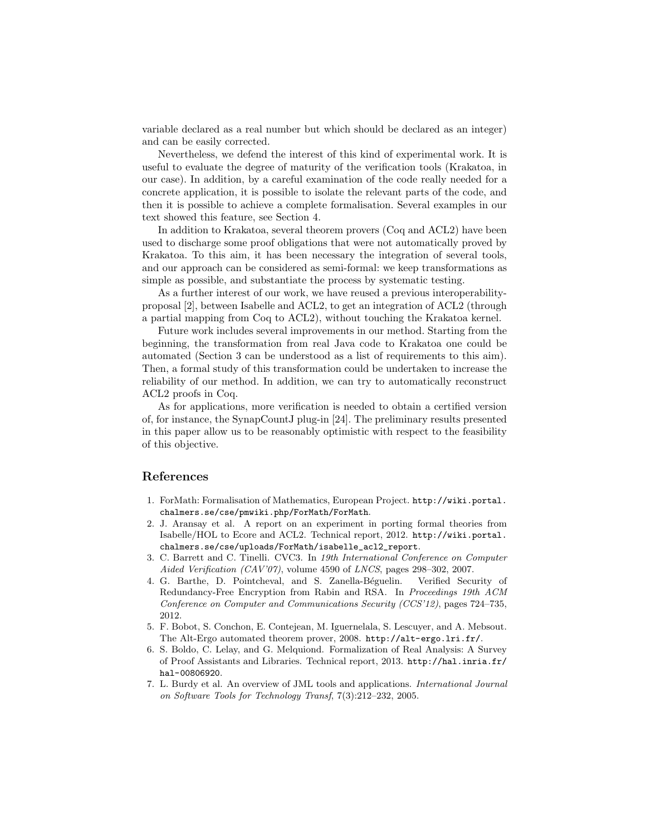variable declared as a real number but which should be declared as an integer) and can be easily corrected.

Nevertheless, we defend the interest of this kind of experimental work. It is useful to evaluate the degree of maturity of the verification tools (Krakatoa, in our case). In addition, by a careful examination of the code really needed for a concrete application, it is possible to isolate the relevant parts of the code, and then it is possible to achieve a complete formalisation. Several examples in our text showed this feature, see Section [4.](#page-5-0)

In addition to Krakatoa, several theorem provers (Coq and ACL2) have been used to discharge some proof obligations that were not automatically proved by Krakatoa. To this aim, it has been necessary the integration of several tools, and our approach can be considered as semi-formal: we keep transformations as simple as possible, and substantiate the process by systematic testing.

As a further interest of our work, we have reused a previous interoperabilityproposal [\[2\]](#page-14-2), between Isabelle and ACL2, to get an integration of ACL2 (through a partial mapping from Coq to ACL2), without touching the Krakatoa kernel.

Future work includes several improvements in our method. Starting from the beginning, the transformation from real Java code to Krakatoa one could be automated (Section [3](#page-4-0) can be understood as a list of requirements to this aim). Then, a formal study of this transformation could be undertaken to increase the reliability of our method. In addition, we can try to automatically reconstruct ACL2 proofs in Coq.

As for applications, more verification is needed to obtain a certified version of, for instance, the SynapCountJ plug-in [\[24\]](#page-15-8). The preliminary results presented in this paper allow us to be reasonably optimistic with respect to the feasibility of this objective.

#### References

- <span id="page-14-3"></span>1. ForMath: Formalisation of Mathematics, European Project. [http://wiki.portal.](http://wiki.portal.chalmers.se/cse/pmwiki.php/ForMath/ForMath) [chalmers.se/cse/pmwiki.php/ForMath/ForMath](http://wiki.portal.chalmers.se/cse/pmwiki.php/ForMath/ForMath).
- <span id="page-14-2"></span>2. J. Aransay et al. A report on an experiment in porting formal theories from Isabelle/HOL to Ecore and ACL2. Technical report, 2012. [http://wiki.portal.](http://wiki.portal.chalmers.se/cse/uploads/ForMath/isabelle_acl2_report ) [chalmers.se/cse/uploads/ForMath/isabelle\\_acl2\\_report](http://wiki.portal.chalmers.se/cse/uploads/ForMath/isabelle_acl2_report ).
- <span id="page-14-1"></span>3. C. Barrett and C. Tinelli. CVC3. In 19th International Conference on Computer Aided Verification (CAV'07), volume 4590 of LNCS, pages 298–302, 2007.
- <span id="page-14-5"></span>4. G. Barthe, D. Pointcheval, and S. Zanella-Béguelin. Verified Security of Redundancy-Free Encryption from Rabin and RSA. In Proceedings 19th ACM Conference on Computer and Communications Security (CCS'12), pages 724–735, 2012.
- <span id="page-14-0"></span>5. F. Bobot, S. Conchon, E. Contejean, M. Iguernelala, S. Lescuyer, and A. Mebsout. The Alt-Ergo automated theorem prover, 2008. <http://alt-ergo.lri.fr/>.
- <span id="page-14-6"></span>6. S. Boldo, C. Lelay, and G. Melquiond. Formalization of Real Analysis: A Survey of Proof Assistants and Libraries. Technical report, 2013. [http://hal.inria.fr/](http://hal.inria.fr/hal-00806920) [hal-00806920](http://hal.inria.fr/hal-00806920).
- <span id="page-14-4"></span>7. L. Burdy et al. An overview of JML tools and applications. International Journal on Software Tools for Technology Transf, 7(3):212–232, 2005.